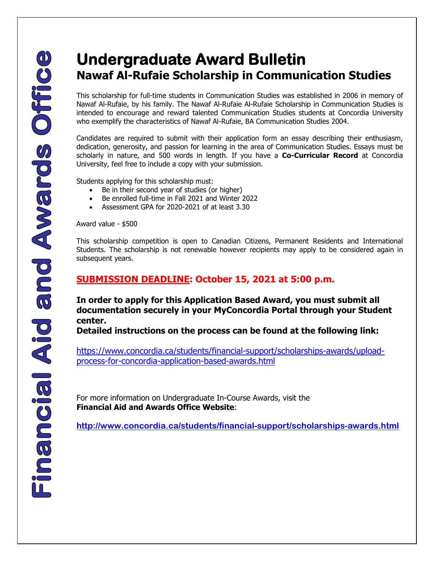## **Nawaf Al-Rufaie Scholarship in Communication Studies**

This scholarship for full-time students in Communication Studies was established in 2006 in memory of Nawaf Al-Rufaie, by his family. The Nawaf Al-Rufaie Al-Rufaie Scholarship in Communication Studies is intended to encourage and reward talented Communication Studies students at Concordia University who exemplify the characteristics of Nawaf Al-Rufaie, BA Communication Studies 2004.

Candidates are required to submit with their application form an essay describing their enthusiasm, dedication, generosity, and passion for learning in the area of Communication Studies. Essays must be scholarly in nature, and 500 words in length. If you have a **Co-Curricular Record** at Concordia University, feel free to include a copy with your submission.

Students applying for this scholarship must:

- Be in their second year of studies (or higher)
- Be enrolled full-time in Fall 2021 and Winter 2022
- Assessment GPA for 2020-2021 of at least 3.30

Award value - \$500

This scholarship competition is open to Canadian Citizens, Permanent Residents and International Students. The scholarship is not renewable however recipients may apply to be considered again in subsequent years.

## **SUBMISSION DEADLINE: October 15, 2021 at 5:00 p.m.**

**In order to apply for this Application Based Award, you must submit all documentation securely in your MyConcordia Portal through your Student center.** 

**Detailed instructions on the process can be found at the following link:** 

[https://www.concordia.ca/students/financial-support/scholarships-awards/upload](https://www.concordia.ca/students/financial-support/scholarships-awards/upload-process-for-concordia-application-based-awards.html)[process-for-concordia-application-based-awards.html](https://www.concordia.ca/students/financial-support/scholarships-awards/upload-process-for-concordia-application-based-awards.html)

For more information on Undergraduate In-Course Awards, visit the **Financial Aid and Awards Office Website**:

 **<http://www.concordia.ca/students/financial-support/scholarships-awards.html>**